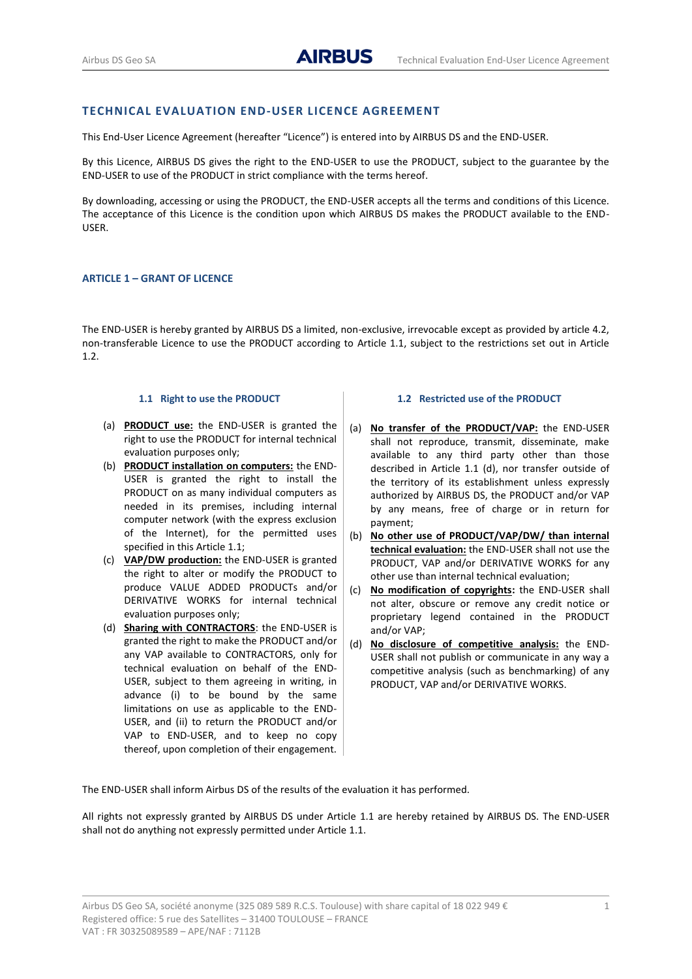## **TECHNICAL EVALUATION END-USER LICENCE AGREEMENT**

This End-User Licence Agreement (hereafter "Licence") is entered into by AIRBUS DS and the END-USER.

By this Licence, AIRBUS DS gives the right to the END-USER to use the PRODUCT, subject to the guarantee by the END-USER to use of the PRODUCT in strict compliance with the terms hereof.

By downloading, accessing or using the PRODUCT, the END-USER accepts all the terms and conditions of this Licence. The acceptance of this Licence is the condition upon which AIRBUS DS makes the PRODUCT available to the END-USER.

## **ARTICLE 1 – GRANT OF LICENCE**

The END-USER is hereby granted by AIRBUS DS a limited, non-exclusive, irrevocable except as provided by article [4.2,](#page-2-0) non-transferable Licence to use the PRODUCT according to Article [1.1,](#page-0-0) subject to the restrictions set out in Article 1.2.

#### **1.1 Right to use the PRODUCT**

- <span id="page-0-0"></span>(a) **PRODUCT use:** the END-USER is granted the right to use the PRODUCT for internal technical evaluation purposes only;
- (b) **PRODUCT installation on computers:** the END-USER is granted the right to install the PRODUCT on as many individual computers as needed in its premises, including internal computer network (with the express exclusion of the Internet), for the permitted uses specified in this Article [1.1;](#page-0-0)
- (c) **VAP/DW production:** the END-USER is granted the right to alter or modify the PRODUCT to produce VALUE ADDED PRODUCTs and/or DERIVATIVE WORKS for internal technical evaluation purposes only;
- <span id="page-0-1"></span>(d) **Sharing with CONTRACTORS**: the END-USER is granted the right to make the PRODUCT and/or any VAP available to CONTRACTORS, only for technical evaluation on behalf of the END-USER, subject to them agreeing in writing, in advance (i) to be bound by the same limitations on use as applicable to the END-USER, and (ii) to return the PRODUCT and/or VAP to END-USER, and to keep no copy thereof, upon completion of their engagement.

#### **1.2 Restricted use of the PRODUCT**

- (a) **No transfer of the PRODUCT/VAP:** the END-USER shall not reproduce, transmit, disseminate, make available to any third party other than those described in Article 1.1 [\(d\),](#page-0-1) nor transfer outside of the territory of its establishment unless expressly authorized by AIRBUS DS, the PRODUCT and/or VAP by any means, free of charge or in return for payment;
- (b) **No other use of PRODUCT/VAP/DW/ than internal technical evaluation:** the END-USER shall not use the PRODUCT, VAP and/or DERIVATIVE WORKS for any other use than internal technical evaluation;
- (c) **No modification of copyrights:** the END-USER shall not alter, obscure or remove any credit notice or proprietary legend contained in the PRODUCT and/or VAP;
- (d) **No disclosure of competitive analysis:** the END-USER shall not publish or communicate in any way a competitive analysis (such as benchmarking) of any PRODUCT, VAP and/or DERIVATIVE WORKS.

The END-USER shall inform Airbus DS of the results of the evaluation it has performed.

All rights not expressly granted by AIRBUS DS under Article [1.1](#page-0-0) are hereby retained by AIRBUS DS. The END-USER shall not do anything not expressly permitted under Articl[e 1.1.](#page-0-0)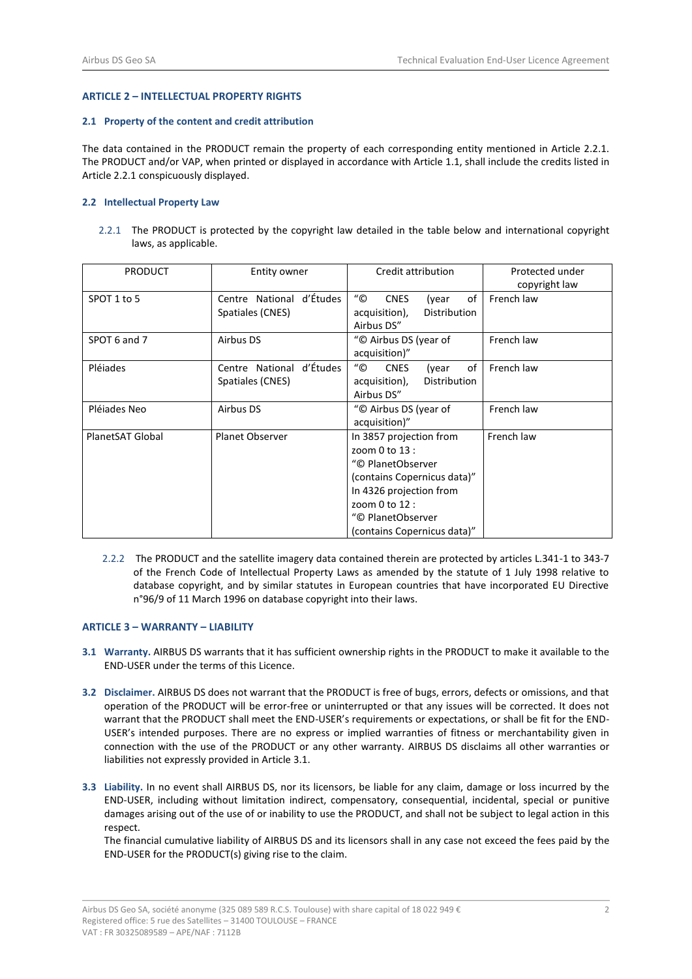## **ARTICLE 2 – INTELLECTUAL PROPERTY RIGHTS**

#### **2.1 Property of the content and credit attribution**

The data contained in the PRODUCT remain the property of each corresponding entity mentioned in Article 2.2.1. The PRODUCT and/or VAP, when printed or displayed in accordance with Articl[e 1.1,](#page-0-0) shall include the credits listed in Article 2.2.1 conspicuously displayed.

### **2.2 Intellectual Property Law**

2.2.1 The PRODUCT is protected by the copyright law detailed in the table below and international copyright laws, as applicable.

| <b>PRODUCT</b>   | Entity owner                                    | Credit attribution                                                                                                                                                                             | Protected under<br>copyright law |
|------------------|-------------------------------------------------|------------------------------------------------------------------------------------------------------------------------------------------------------------------------------------------------|----------------------------------|
| SPOT 1 to 5      | Centre National d'Études<br>Spatiales (CNES)    | "©<br><b>CNES</b><br>of<br>(year<br>Distribution<br>acquisition),<br>Airbus DS"                                                                                                                | French law                       |
| SPOT 6 and 7     | Airbus DS                                       | "© Airbus DS (year of<br>acquisition)"                                                                                                                                                         | French law                       |
| Pléiades         | d'Études<br>Centre National<br>Spatiales (CNES) | $^{\prime\prime}$ ©<br><b>CNES</b><br>of<br>(year<br>Distribution<br>acquisition),<br>Airbus DS"                                                                                               | French law                       |
| Pléjades Neo     | Airbus DS                                       | "© Airbus DS (year of<br>acquisition)"                                                                                                                                                         | French law                       |
| PlanetSAT Global | <b>Planet Observer</b>                          | In 3857 projection from<br>zoom 0 to 13 :<br>"© PlanetObserver<br>(contains Copernicus data)"<br>In 4326 projection from<br>zoom 0 to 12 :<br>"© PlanetObserver<br>(contains Copernicus data)" | French law                       |

 2.2.2The PRODUCT and the satellite imagery data contained therein are protected by articles L.341-1 to 343-7 of the French Code of Intellectual Property Laws as amended by the statute of 1 July 1998 relative to database copyright, and by similar statutes in European countries that have incorporated EU Directive n°96/9 of 11 March 1996 on database copyright into their laws.

### **ARTICLE 3 – WARRANTY – LIABILITY**

- <span id="page-1-0"></span>**3.1 Warranty.** AIRBUS DS warrants that it has sufficient ownership rights in the PRODUCT to make it available to the END-USER under the terms of this Licence.
- **3.2 Disclaimer.** AIRBUS DS does not warrant that the PRODUCT is free of bugs, errors, defects or omissions, and that operation of the PRODUCT will be error-free or uninterrupted or that any issues will be corrected. It does not warrant that the PRODUCT shall meet the END-USER's requirements or expectations, or shall be fit for the END-USER's intended purposes. There are no express or implied warranties of fitness or merchantability given in connection with the use of the PRODUCT or any other warranty. AIRBUS DS disclaims all other warranties or liabilities not expressly provided in Articl[e 3.1.](#page-1-0)
- **3.3 Liability.** In no event shall AIRBUS DS, nor its licensors, be liable for any claim, damage or loss incurred by the END-USER, including without limitation indirect, compensatory, consequential, incidental, special or punitive damages arising out of the use of or inability to use the PRODUCT, and shall not be subject to legal action in this respect.

The financial cumulative liability of AIRBUS DS and its licensors shall in any case not exceed the fees paid by the END-USER for the PRODUCT(s) giving rise to the claim.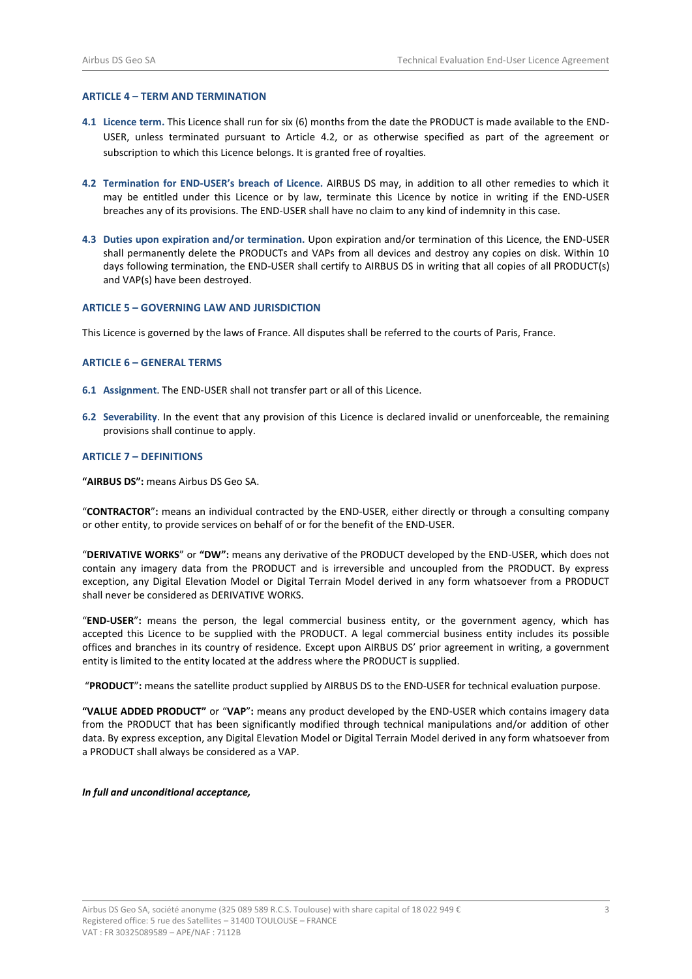# **ARTICLE 4 – TERM AND TERMINATION**

- **4.1 Licence term.** This Licence shall run for six (6) months from the date the PRODUCT is made available to the END-USER, unless terminated pursuant to Article [4.2,](#page-2-0) or as otherwise specified as part of the agreement or subscription to which this Licence belongs. It is granted free of royalties.
- <span id="page-2-0"></span>**4.2 Termination for END-USER's breach of Licence.** AIRBUS DS may, in addition to all other remedies to which it may be entitled under this Licence or by law, terminate this Licence by notice in writing if the END-USER breaches any of its provisions. The END-USER shall have no claim to any kind of indemnity in this case.
- **4.3 Duties upon expiration and/or termination.** Upon expiration and/or termination of this Licence, the END-USER shall permanently delete the PRODUCTs and VAPs from all devices and destroy any copies on disk. Within 10 days following termination, the END-USER shall certify to AIRBUS DS in writing that all copies of all PRODUCT(s) and VAP(s) have been destroyed.

### **ARTICLE 5 – GOVERNING LAW AND JURISDICTION**

This Licence is governed by the laws of France. All disputes shall be referred to the courts of Paris, France.

### **ARTICLE 6 – GENERAL TERMS**

- **6.1 Assignment**. The END-USER shall not transfer part or all of this Licence.
- **6.2 Severability**. In the event that any provision of this Licence is declared invalid or unenforceable, the remaining provisions shall continue to apply.

### **ARTICLE 7 – DEFINITIONS**

**"AIRBUS DS":** means Airbus DS Geo SA.

"**CONTRACTOR**"**:** means an individual contracted by the END-USER, either directly or through a consulting company or other entity, to provide services on behalf of or for the benefit of the END-USER.

"**DERIVATIVE WORKS**" or **"DW":** means any derivative of the PRODUCT developed by the END-USER, which does not contain any imagery data from the PRODUCT and is irreversible and uncoupled from the PRODUCT. By express exception, any Digital Elevation Model or Digital Terrain Model derived in any form whatsoever from a PRODUCT shall never be considered as DERIVATIVE WORKS.

"**END-USER**"**:** means the person, the legal commercial business entity, or the government agency, which has accepted this Licence to be supplied with the PRODUCT. A legal commercial business entity includes its possible offices and branches in its country of residence. Except upon AIRBUS DS' prior agreement in writing, a government entity is limited to the entity located at the address where the PRODUCT is supplied.

"**PRODUCT**"**:** means the satellite product supplied by AIRBUS DS to the END-USER for technical evaluation purpose.

**"VALUE ADDED PRODUCT"** or "**VAP**"**:** means any product developed by the END-USER which contains imagery data from the PRODUCT that has been significantly modified through technical manipulations and/or addition of other data. By express exception, any Digital Elevation Model or Digital Terrain Model derived in any form whatsoever from a PRODUCT shall always be considered as a VAP.

### *In full and unconditional acceptance,*